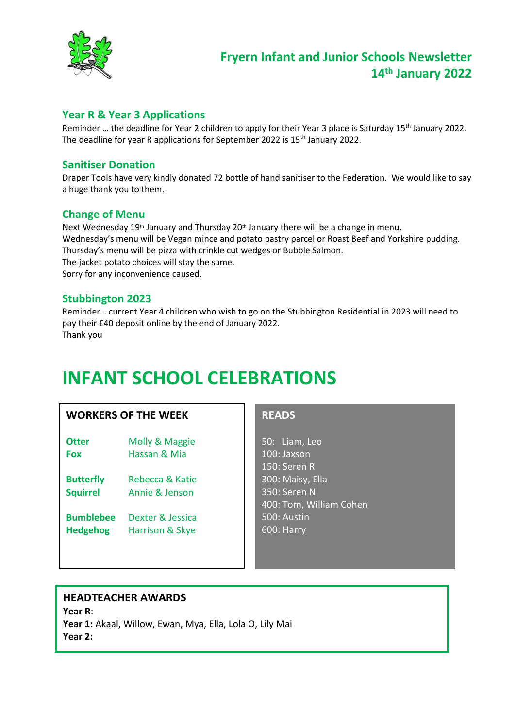

#### **Year R & Year 3 Applications**

Reminder ... the deadline for Year 2 children to apply for their Year 3 place is Saturday 15<sup>th</sup> January 2022. The deadline for year R applications for September 2022 is 15<sup>th</sup> January 2022.

#### **Sanitiser Donation**

Draper Tools have very kindly donated 72 bottle of hand sanitiser to the Federation. We would like to say a huge thank you to them.

#### **Change of Menu**

Next Wednesday 19<sup>th</sup> January and Thursday 20<sup>th</sup> January there will be a change in menu. Wednesday's menu will be Vegan mince and potato pastry parcel or Roast Beef and Yorkshire pudding. Thursday's menu will be pizza with crinkle cut wedges or Bubble Salmon. The jacket potato choices will stay the same.

Sorry for any inconvenience caused.

#### **Stubbington 2023**

Reminder… current Year 4 children who wish to go on the Stubbington Residential in 2023 will need to pay their £40 deposit online by the end of January 2022. Thank you

# **INFANT SCHOOL CELEBRATIONS**

#### **WORKERS OF THE WEEK**

- **Otter** Molly & Maggie **Fox** Hassan & Mia
- **Butterfly** Rebecca & Katie **Squirrel** Annie & Jenson
- **Bumblebee** Dexter & Jessica **Hedgehog** Harrison & Skye

### **READS**

50: Liam, Leo 100: Jaxson 150: Seren R 300: Maisy, Ella 350: Seren N 400: Tom, William Cohen 500: Austin 600: Harry

#### **HEADTEACHER AWARDS**

**Year R**: **Year 1:** Akaal, Willow, Ewan, Mya, Ella, Lola O, Lily Mai **Year 2:**